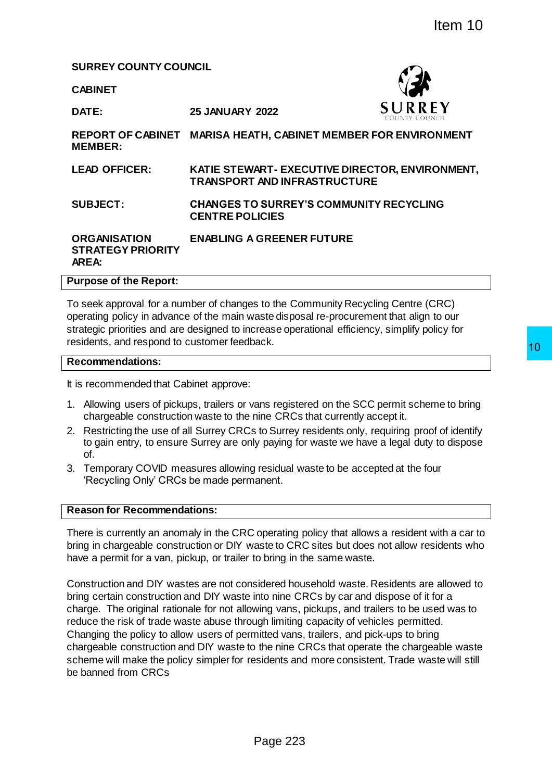**SURREY COUNTY COUNCIL**

**CABINET**

**DATE: 25 JANUARY 2022**



**REPORT OF CABINET MARISA HEATH, CABINET MEMBER FOR ENVIRONMENT MEMBER:**

**LEAD OFFICER: KATIE STEWART- EXECUTIVE DIRECTOR, ENVIRONMENT, TRANSPORT AND INFRASTRUCTURE** 

**SUBJECT: CHANGES TO SURREY'S COMMUNITY RECYCLING CENTRE POLICIES**

#### **ORGANISATION STRATEGY PRIORITY AREA: ENABLING A GREENER FUTURE**

#### **Purpose of the Report:**

To seek approval for a number of changes to the Community Recycling Centre (CRC) operating policy in advance of the main waste disposal re-procurement that align to our strategic priorities and are designed to increase operational efficiency, simplify policy for residents, and respond to customer feedback.

#### **Recommendations:**

It is recommended that Cabinet approve:

- 1. Allowing users of pickups, trailers or vans registered on the SCC permit scheme to bring chargeable construction waste to the nine CRCs that currently accept it.
- 2. Restricting the use of all Surrey CRCs to Surrey residents only, requiring proof of identify to gain entry, to ensure Surrey are only paying for waste we have a legal duty to dispose of.
- 3. Temporary COVID measures allowing residual waste to be accepted at the four 'Recycling Only' CRCs be made permanent.

#### **Reason for Recommendations:**

There is currently an anomaly in the CRC operating policy that allows a resident with a car to bring in chargeable construction or DIY waste to CRC sites but does not allow residents who have a permit for a van, pickup, or trailer to bring in the same waste.

Construction and DIY wastes are not considered household waste. Residents are allowed to bring certain construction and DIY waste into nine CRCs by car and dispose of it for a charge. The original rationale for not allowing vans, pickups, and trailers to be used was to reduce the risk of trade waste abuse through limiting capacity of vehicles permitted. Changing the policy to allow users of permitted vans, trailers, and pick-ups to bring chargeable construction and DIY waste to the nine CRCs that operate the chargeable waste scheme will make the policy simpler for residents and more consistent. Trade waste will still be banned from CRCs The CRCS was noted to the cRCS by car and dispose of it for a<br>the cRCS by the main case of the cRCS of the cRCS of the cRCS of the cRCS of the cRCS of the cRCS of the cross operational efficiency, simplify policy for<br>the s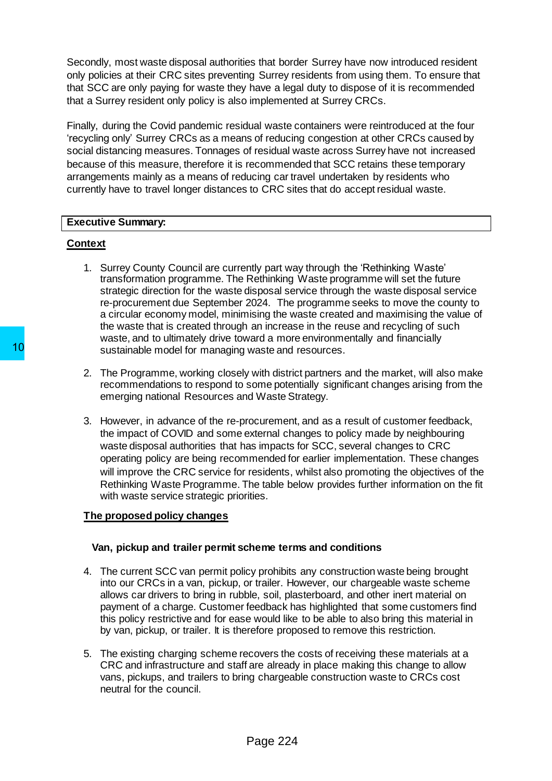Secondly, most waste disposal authorities that border Surrey have now introduced resident only policies at their CRC sites preventing Surrey residents from using them. To ensure that that SCC are only paying for waste they have a legal duty to dispose of it is recommended that a Surrey resident only policy is also implemented at Surrey CRCs.

Finally, during the Covid pandemic residual waste containers were reintroduced at the four 'recycling only' Surrey CRCs as a means of reducing congestion at other CRCs caused by social distancing measures. Tonnages of residual waste across Surrey have not increased because of this measure, therefore it is recommended that SCC retains these temporary arrangements mainly as a means of reducing car travel undertaken by residents who currently have to travel longer distances to CRC sites that do accept residual waste.

#### **Executive Summary:**

# **Context**

- 1. Surrey County Council are currently part way through the 'Rethinking Waste' transformation programme. The Rethinking Waste programme will set the future strategic direction for the waste disposal service through the waste disposal service re-procurement due September 2024. The programme seeks to move the county to a circular economy model, minimising the waste created and maximising the value of the waste that is created through an increase in the reuse and recycling of such waste, and to ultimately drive toward a more environmentally and financially sustainable model for managing waste and resources.
- 2. The Programme, working closely with district partners and the market, will also make recommendations to respond to some potentially significant changes arising from the emerging national Resources and Waste Strategy.
- 3. However, in advance of the re-procurement, and as a result of customer feedback, the impact of COVID and some external changes to policy made by neighbouring waste disposal authorities that has impacts for SCC, several changes to CRC operating policy are being recommended for earlier implementation. These changes will improve the CRC service for residents, whilst also promoting the objectives of the Rethinking Waste Programme. The table below provides further information on the fit with waste service strategic priorities*.*  10<br>
Sustainable model for managing waste and 1<br>
2. The Programme, working closely with districtic recommendations to respond to some poter<br>
emerging national Resources and Waste St<br>
3. However, in advance of the re-procure

#### **The proposed policy changes**

#### **Van, pickup and trailer permit scheme terms and conditions**

- 4. The current SCC van permit policy prohibits any construction waste being brought into our CRCs in a van, pickup, or trailer. However, our chargeable waste scheme allows car drivers to bring in rubble, soil, plasterboard, and other inert material on payment of a charge. Customer feedback has highlighted that some customers find this policy restrictive and for ease would like to be able to also bring this material in by van, pickup, or trailer. It is therefore proposed to remove this restriction.
- 5. The existing charging scheme recovers the costs of receiving these materials at a CRC and infrastructure and staff are already in place making this change to allow vans, pickups, and trailers to bring chargeable construction waste to CRCs cost neutral for the council.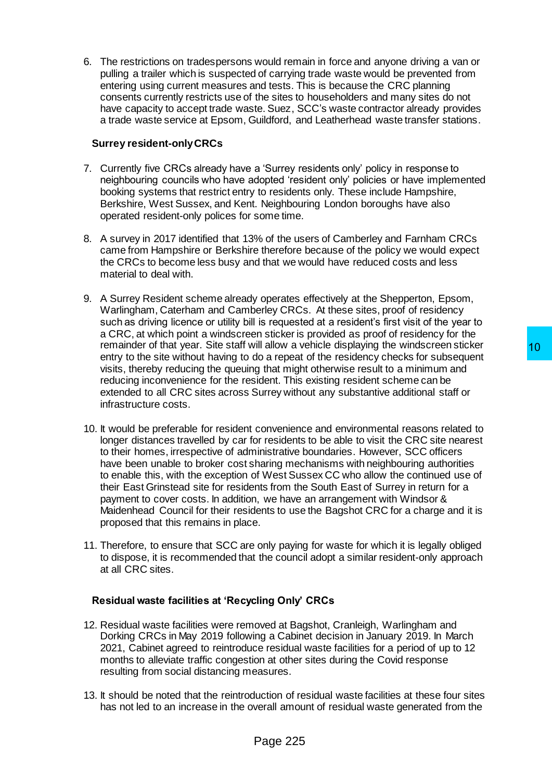6. The restrictions on tradespersons would remain in force and anyone driving a van or pulling a trailer which is suspected of carrying trade waste would be prevented from entering using current measures and tests. This is because the CRC planning consents currently restricts use of the sites to householders and many sites do not have capacity to accept trade waste. Suez, SCC's waste contractor already provides a trade waste service at Epsom, Guildford, and Leatherhead waste transfer stations.

#### **Surrey resident-only CRCs**

- 7. Currently five CRCs already have a 'Surrey residents only' policy in response to neighbouring councils who have adopted 'resident only' policies or have implemented booking systems that restrict entry to residents only. These include Hampshire, Berkshire, West Sussex, and Kent. Neighbouring London boroughs have also operated resident-only polices for some time.
- 8. A survey in 2017 identified that 13% of the users of Camberley and Farnham CRCs came from Hampshire or Berkshire therefore because of the policy we would expect the CRCs to become less busy and that we would have reduced costs and less material to deal with.
- 9. A Surrey Resident scheme already operates effectively at the Shepperton, Epsom, Warlingham, Caterham and Camberley CRCs. At these sites, proof of residency such as driving licence or utility bill is requested at a resident's first visit of the year to a CRC, at which point a windscreen sticker is provided as proof of residency for the remainder of that year. Site staff will allow a vehicle displaying the windscreen sticker entry to the site without having to do a repeat of the residency checks for subsequent visits, thereby reducing the queuing that might otherwise result to a minimum and reducing inconvenience for the resident. This existing resident scheme can be extended to all CRC sites across Surrey without any substantive additional staff or infrastructure costs.
- 10. It would be preferable for resident convenience and environmental reasons related to longer distances travelled by car for residents to be able to visit the CRC site nearest to their homes, irrespective of administrative boundaries. However, SCC officers have been unable to broker cost sharing mechanisms with neighbouring authorities to enable this, with the exception of West Sussex CC who allow the continued use of their East Grinstead site for residents from the South East of Surrey in return for a payment to cover costs. In addition, we have an arrangement with Windsor & Maidenhead Council for their residents to use the Bagshot CRC for a charge and it is proposed that this remains in place. millallow a verhicle displaying the windscreen sticker<br>of o a repeat of the residency checks for subsequent<br>g that might otherwise result to a minimum and<br>ident. This existing resident scheme can be<br>given without any subst
- 11. Therefore, to ensure that SCC are only paying for waste for which it is legally obliged to dispose, it is recommended that the council adopt a similar resident-only approach at all CRC sites.

# **Residual waste facilities at 'Recycling Only' CRCs**

- 12. Residual waste facilities were removed at Bagshot, Cranleigh, Warlingham and Dorking CRCs in May 2019 following a Cabinet decision in January 2019. In March 2021, Cabinet agreed to reintroduce residual waste facilities for a period of up to 12 months to alleviate traffic congestion at other sites during the Covid response resulting from social distancing measures.
- 13. It should be noted that the reintroduction of residual waste facilities at these four sites has not led to an increase in the overall amount of residual waste generated from the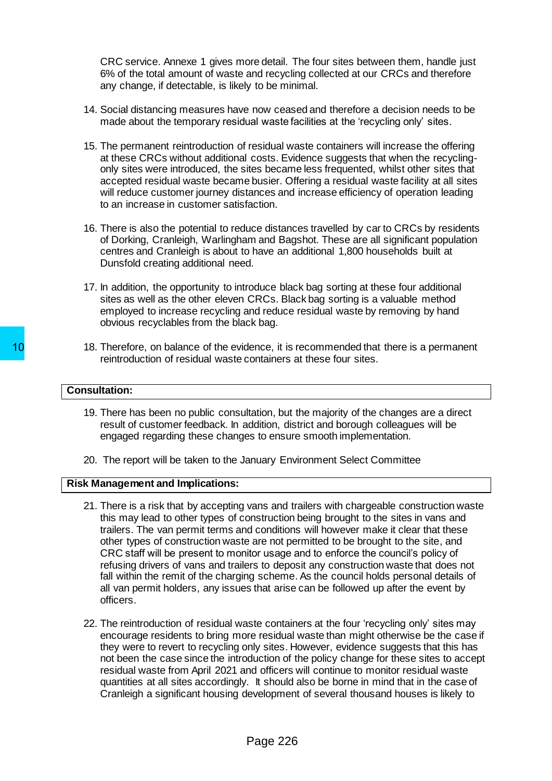CRC service. Annexe 1 gives more detail. The four sites between them, handle just 6% of the total amount of waste and recycling collected at our CRCs and therefore any change, if detectable, is likely to be minimal.

- 14. Social distancing measures have now ceased and therefore a decision needs to be made about the temporary residual waste facilities at the 'recycling only' sites.
- 15. The permanent reintroduction of residual waste containers will increase the offering at these CRCs without additional costs. Evidence suggests that when the recyclingonly sites were introduced, the sites became less frequented, whilst other sites that accepted residual waste became busier. Offering a residual waste facility at all sites will reduce customer journey distances and increase efficiency of operation leading to an increase in customer satisfaction.
- 16. There is also the potential to reduce distances travelled by car to CRCs by residents of Dorking, Cranleigh, Warlingham and Bagshot. These are all significant population centres and Cranleigh is about to have an additional 1,800 households built at Dunsfold creating additional need.
- 17. In addition, the opportunity to introduce black bag sorting at these four additional sites as well as the other eleven CRCs. Black bag sorting is a valuable method employed to increase recycling and reduce residual waste by removing by hand obvious recyclables from the black bag.
- 18. Therefore, on balance of the evidence, it is recommended that there is a permanent reintroduction of residual waste containers at these four sites.

#### **Consultation:**

- 19. There has been no public consultation, but the majority of the changes are a direct result of customer feedback. In addition, district and borough colleagues will be engaged regarding these changes to ensure smooth implementation.
- 20. The report will be taken to the January Environment Select Committee

#### **Risk Management and Implications:**

- 21. There is a risk that by accepting vans and trailers with chargeable construction waste this may lead to other types of construction being brought to the sites in vans and trailers. The van permit terms and conditions will however make it clear that these other types of construction waste are not permitted to be brought to the site, and CRC staff will be present to monitor usage and to enforce the council's policy of refusing drivers of vans and trailers to deposit any construction waste that does not fall within the remit of the charging scheme. As the council holds personal details of all van permit holders, any issues that arise can be followed up after the event by officers. 18. Therefore, on balance of the evidence, it is reintroduction of residual waste containers and the evidence of the evidence of the evidence of the state of customer feedback. In addition, dis engaged regarding these chan
	- 22. The reintroduction of residual waste containers at the four 'recycling only' sites may encourage residents to bring more residual waste than might otherwise be the case if they were to revert to recycling only sites. However, evidence suggests that this has not been the case since the introduction of the policy change for these sites to accept residual waste from April 2021 and officers will continue to monitor residual waste quantities at all sites accordingly. It should also be borne in mind that in the case of Cranleigh a significant housing development of several thousand houses is likely to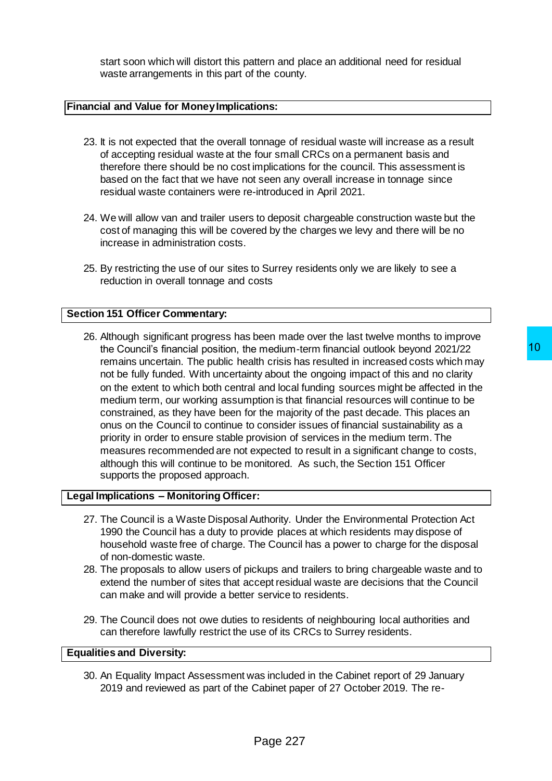start soon which will distort this pattern and place an additional need for residual waste arrangements in this part of the county.

#### **Financial and Value for Money Implications:**

- 23. It is not expected that the overall tonnage of residual waste will increase as a result of accepting residual waste at the four small CRCs on a permanent basis and therefore there should be no cost implications for the council. This assessment is based on the fact that we have not seen any overall increase in tonnage since residual waste containers were re-introduced in April 2021.
- 24. We will allow van and trailer users to deposit chargeable construction waste but the cost of managing this will be covered by the charges we levy and there will be no increase in administration costs.
- 25. By restricting the use of our sites to Surrey residents only we are likely to see a reduction in overall tonnage and costs

#### **Section 151 Officer Commentary:**

26. Although significant progress has been made over the last twelve months to improve the Council's financial position, the medium-term financial outlook beyond 2021/22 remains uncertain. The public health crisis has resulted in increased costs which may not be fully funded. With uncertainty about the ongoing impact of this and no clarity on the extent to which both central and local funding sources might be affected in the medium term, our working assumption is that financial resources will continue to be constrained, as they have been for the majority of the past decade. This places an onus on the Council to continue to consider issues of financial sustainability as a priority in order to ensure stable provision of services in the medium term. The measures recommended are not expected to result in a significant change to costs, although this will continue to be monitored. As such, the Section 151 Officer supports the proposed approach. rendium-term financial outlook beyond 2021/22<br>
thy roiss has resulted in increased costs which may<br>
ty about the ongoing impact of this and no clarity<br>
and local funding sources will continue to be<br>
the majority of the pas

#### **Legal Implications – Monitoring Officer:**

- 27. The Council is a Waste Disposal Authority. Under the Environmental Protection Act 1990 the Council has a duty to provide places at which residents may dispose of household waste free of charge. The Council has a power to charge for the disposal of non-domestic waste.
- 28. The proposals to allow users of pickups and trailers to bring chargeable waste and to extend the number of sites that accept residual waste are decisions that the Council can make and will provide a better service to residents.
- 29. The Council does not owe duties to residents of neighbouring local authorities and can therefore lawfully restrict the use of its CRCs to Surrey residents.

#### **Equalities and Diversity:**

30. An Equality Impact Assessment was included in the Cabinet report of 29 January 2019 and reviewed as part of the Cabinet paper of 27 October 2019. The re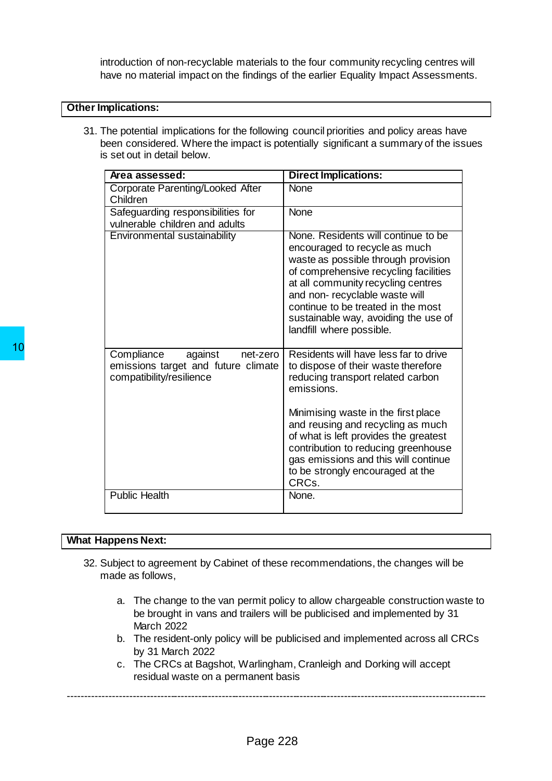introduction of non-recyclable materials to the four community recycling centres will have no material impact on the findings of the earlier Equality Impact Assessments.

#### **Other Implications:**

31. The potential implications for the following council priorities and policy areas have been considered. Where the impact is potentially significant a summary of the issues is set out in detail below.

|    | Area assessed:                                                                                               | <b>Direct Implications:</b>                                                                                                                                                                                                                                                                                                           |  |  |  |  |  |  |
|----|--------------------------------------------------------------------------------------------------------------|---------------------------------------------------------------------------------------------------------------------------------------------------------------------------------------------------------------------------------------------------------------------------------------------------------------------------------------|--|--|--|--|--|--|
|    | Corporate Parenting/Looked After<br>Children                                                                 | <b>None</b>                                                                                                                                                                                                                                                                                                                           |  |  |  |  |  |  |
|    | Safeguarding responsibilities for<br>vulnerable children and adults                                          | None                                                                                                                                                                                                                                                                                                                                  |  |  |  |  |  |  |
| 10 | Environmental sustainability                                                                                 | None. Residents will continue to be<br>encouraged to recycle as much<br>waste as possible through provision<br>of comprehensive recycling facilities<br>at all community recycling centres<br>and non-recyclable waste will<br>continue to be treated in the most<br>sustainable way, avoiding the use of<br>landfill where possible. |  |  |  |  |  |  |
|    | Compliance<br>against<br>net-zero<br>emissions target and future climate<br>compatibility/resilience         | Residents will have less far to drive<br>to dispose of their waste therefore<br>reducing transport related carbon<br>emissions.                                                                                                                                                                                                       |  |  |  |  |  |  |
|    |                                                                                                              | Minimising waste in the first place<br>and reusing and recycling as much<br>of what is left provides the greatest<br>contribution to reducing greenhouse<br>gas emissions and this will continue<br>to be strongly encouraged at the<br>CRCs.                                                                                         |  |  |  |  |  |  |
|    | <b>Public Health</b>                                                                                         | None.                                                                                                                                                                                                                                                                                                                                 |  |  |  |  |  |  |
|    |                                                                                                              |                                                                                                                                                                                                                                                                                                                                       |  |  |  |  |  |  |
|    | <b>What Happens Next:</b>                                                                                    |                                                                                                                                                                                                                                                                                                                                       |  |  |  |  |  |  |
|    | 32. Subject to agreement by Cabinet of these recommendations, the changes will be<br>made as follows,        |                                                                                                                                                                                                                                                                                                                                       |  |  |  |  |  |  |
|    | а.<br><b>March 2022</b>                                                                                      | The change to the van permit policy to allow chargeable construction ware<br>be brought in vans and trailers will be publicised and implemented by 31                                                                                                                                                                                 |  |  |  |  |  |  |
|    | by 31 March 2022                                                                                             | b. The resident-only policy will be publicised and implemented across all CI                                                                                                                                                                                                                                                          |  |  |  |  |  |  |
|    | c. The CRCs at Bagshot, Warlingham, Cranleigh and Dorking will accept<br>residual waste on a permanent basis |                                                                                                                                                                                                                                                                                                                                       |  |  |  |  |  |  |
|    | Page 228                                                                                                     |                                                                                                                                                                                                                                                                                                                                       |  |  |  |  |  |  |

#### **What Happens Next:**

- 32. Subject to agreement by Cabinet of these recommendations, the changes will be made as follows,
	- a. The change to the van permit policy to allow chargeable construction waste to be brought in vans and trailers will be publicised and implemented by 31 March 2022
	- b. The resident-only policy will be publicised and implemented across all CRCs by 31 March 2022
	- c. The CRCs at Bagshot, Warlingham, Cranleigh and Dorking will accept residual waste on a permanent basis

---------------------------------------------------------------------------------------------------------------------------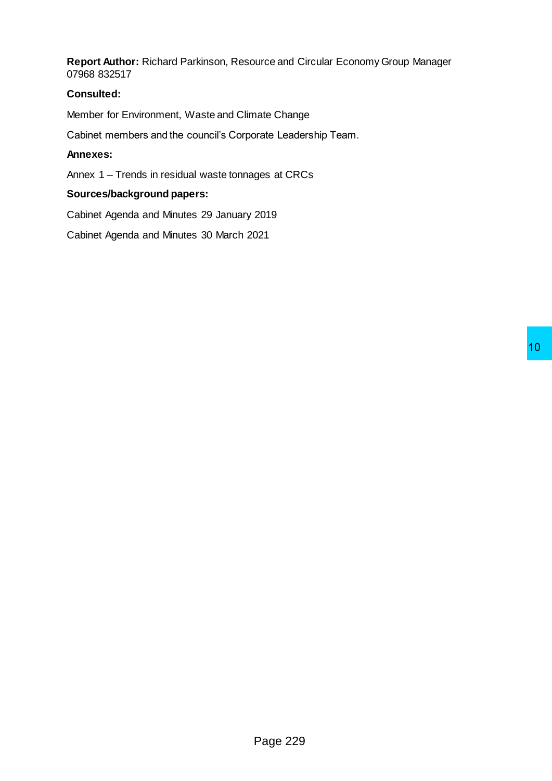**Report Author:** Richard Parkinson, Resource and Circular Economy Group Manager 07968 832517

### **Consulted:**

Member for Environment, Waste and Climate Change

Cabinet members and the council's Corporate Leadership Team.

### **Annexes:**

Annex 1 – Trends in residual waste tonnages at CRCs

# **Sources/background papers:**

Cabinet Agenda and Minutes 29 January 2019

Cabinet Agenda and Minutes 30 March 2021